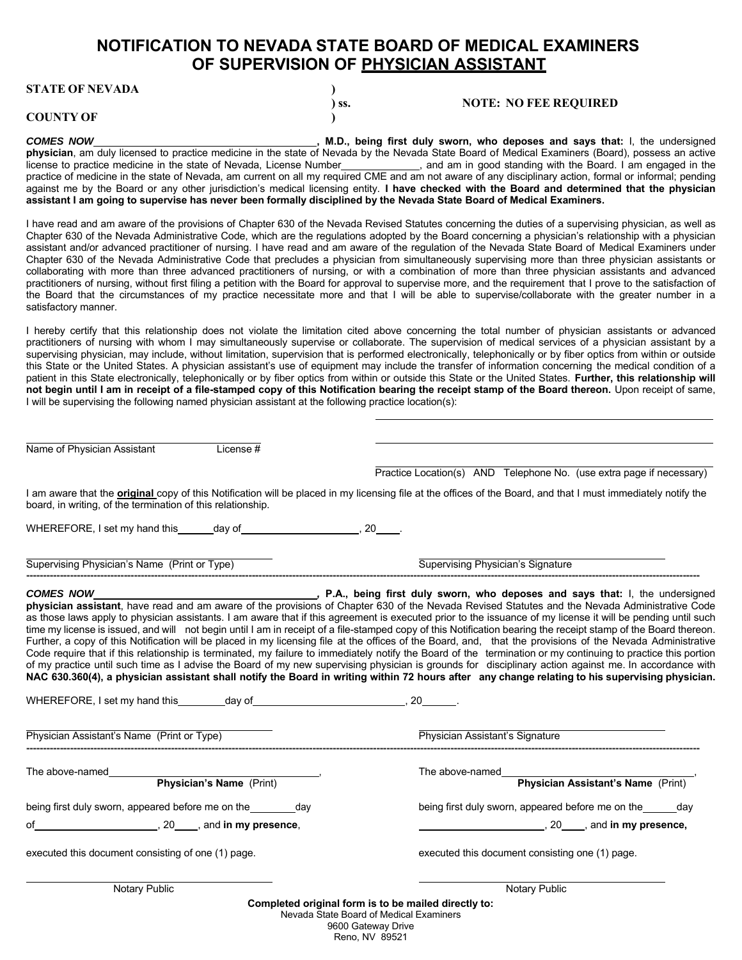## **NOTIFICATION TO NEVADA STATE BOARD OF MEDICAL EXAMINERS OF SUPERVISION OF PHYSICIAN ASSISTANT**

| <b>COUNTY OF</b> |  |
|------------------|--|

**COMES NOW , M.D., being first duly sworn, who deposes and says that: I, the undersigned comparently conduct that is the undersigned physician**, am duly licensed to practice medicine in the state of Nevada by the Nevada State Board of Medical Examiners (Board), possess an active license to practice medicine in the state of Nevada, License Number , and am in good standing with the Board. I am engaged in the practice of medicine in the state of Nevada, am current on all my required CME and am not aware of any disciplinary action, formal or informal; pending against me by the Board or any other jurisdiction's medical licensing entity. **I have checked with the Board and determined that the physician assistant I am going to supervise has never been formally disciplined by the Nevada State Board of Medical Examiners.**

**) ss. NOTE: NO FEE REQUIRED**

I have read and am aware of the provisions of Chapter 630 of the Nevada Revised Statutes concerning the duties of a supervising physician, as well as Chapter 630 of the Nevada Administrative Code, which are the regulations adopted by the Board concerning a physician's relationship with a physician assistant and/or advanced practitioner of nursing. I have read and am aware of the regulation of the Nevada State Board of Medical Examiners under Chapter 630 of the Nevada Administrative Code that precludes a physician from simultaneously supervising more than three physician assistants or collaborating with more than three advanced practitioners of nursing, or with a combination of more than three physician assistants and advanced practitioners of nursing, without first filing a petition with the Board for approval to supervise more, and the requirement that I prove to the satisfaction of the Board that the circumstances of my practice necessitate more and that I will be able to supervise/collaborate with the greater number in a satisfactory manner.

I hereby certify that this relationship does not violate the limitation cited above concerning the total number of physician assistants or advanced practitioners of nursing with whom I may simultaneously supervise or collaborate. The supervision of medical services of a physician assistant by a supervising physician, may include, without limitation, supervision that is performed electronically, telephonically or by fiber optics from within or outside this State or the United States. A physician assistant's use of equipment may include the transfer of information concerning the medical condition of a patient in this State electronically, telephonically or by fiber optics from within or outside this State or the United States. **Further, this relationship will not begin until I am in receipt of a file-stamped copy of this Notification bearing the receipt stamp of the Board thereon.** Upon receipt of same, I will be supervising the following named physician assistant at the following practice location(s):

Name of Physician Assistant License #

Practice Location(s) AND Telephone No. (use extra page if necessary)

I am aware that the **original** copy of this Notification will be placed in my licensing file at the offices of the Board, and that I must immediately notify the board, in writing, of the termination of this relationship.

WHEREFORE, I set my hand this  $\qquad \qquad$  day of  $\qquad \qquad$ , 20  $\qquad$ .

Supervising Physician's Name (Print or Type) Supervising Physician's Signature Signature **--------------------------------------------------------------------------------------------------------------------------------------------------------------------------------------------------------**

*COMES NOW ,* **P.A., being first duly sworn, who deposes and says that:** I, the undersigned **physician assistant**, have read and am aware of the provisions of Chapter 630 of the Nevada Revised Statutes and the Nevada Administrative Code as those laws apply to physician assistants. I am aware that if this agreement is executed prior to the issuance of my license it will be pending until such time my license is issued, and will not begin until I am in receipt of a file-stamped copy of this Notification bearing the receipt stamp of the Board thereon. Further, a copy of this Notification will be placed in my licensing file at the offices of the Board, and, that the provisions of the Nevada Administrative Code require that if this relationship is terminated, my failure to immediately notify the Board of the termination or my continuing to practice this portion of my practice until such time as I advise the Board of my new supervising physician is grounds for disciplinary action against me. In accordance with **NAC 630.360(4), a physician assistant shall notify the Board in writing within 72 hours after any change relating to his supervising physician.**

WHEREFORE, I set my hand this \_\_\_\_\_\_\_\_ day of \_\_\_\_\_\_\_\_\_\_\_\_\_\_\_\_\_\_\_\_\_\_\_\_\_\_\_\_\_\_, 20 \_\_\_\_\_\_\_.

Physician Assistant's Name (Print or Type) Physician Assistant's Signature **--------------------------------------------------------------------------------------------------------------------------------------------------------------------------------------------------------**

The above-named<br> **Physician's Name** (Print) The above-named

being first duly sworn, appeared before me on the day day being first duly sworn, appeared before me on the day

of , 20 , and **in my presence**, , 20 , and **in my presence,**

executed this document consisting of one (1) page. executed this document consisting one (1) page.

**Physician's Name** (Print) **Physician Assistant's Name** (Print)

Notary Public Notary Public Notary Public Notary Public Notary Public Notary Public Notary Public Notary Public

**Completed original form is to be mailed directly to:** Nevada State Board of Medical Examiners

9600 Gateway Drive Reno, NV 89521